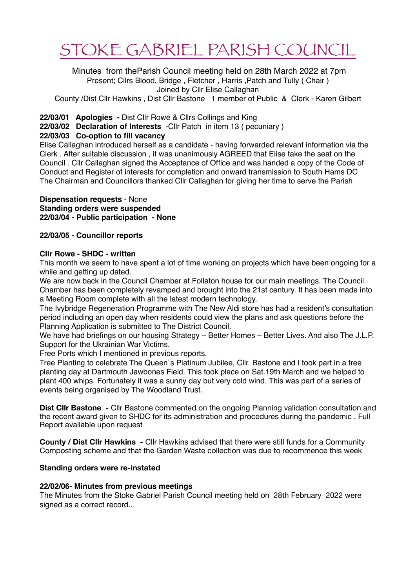# STOKE GABRIEL PARISH COUNCIL

 Minutes from theParish Council meeting held on 28th March 2022 at 7pm Present; Cllrs Blood, Bridge , Fletcher , Harris ,Patch and Tully ( Chair ) Joined by Cllr Elise Callaghan

County /Dist Cllr Hawkins , Dist Cllr Bastone 1 member of Public & Clerk - Karen Gilbert

# **22/03/01 Apologies -** Dist Cllr Rowe & Cllrs Collings and King

**22/03/02 Declaration of Interests** -Cllr Patch in item 13 ( pecuniary )

# **22/03/03 Co-option to fill vacancy**

Elise Callaghan introduced herself as a candidate - having forwarded relevant information via the Clerk . After suitable discussion , it was unanimously AGREED that Elise take the seat on the Council . Cllr Callaghan signed the Acceptance of Office and was handed a copy of the Code of Conduct and Register of interests for completion and onward transmission to South Hams DC The Chairman and Councillors thanked Cllr Callaghan for giving her time to serve the Parish

#### **Dispensation requests** - None **Standing orders were suspended 22/03/04 - Public participation - None**

# **22/03/05 - Councillor reports**

# **Cllr Rowe - SHDC - written**

This month we seem to have spent a lot of time working on projects which have been ongoing for a while and getting up dated.

We are now back in the Council Chamber at Follaton house for our main meetings. The Council Chamber has been completely revamped and brought into the 21st century. It has been made into a Meeting Room complete with all the latest modern technology.

The Ivybridge Regeneration Programme with The New Aldi store has had a resident's consultation period including an open day when residents could view the plans and ask questions before the Planning Application is submitted to The District Council.

We have had briefings on our housing Strategy – Better Homes – Better Lives. And also The J.L.P. Support for the Ukrainian War Victims.

Free Ports which I mentioned in previous reports.

Tree Planting to celebrate The Queen`s Platinum Jubilee, Cllr. Bastone and I took part in a tree planting day at Dartmouth Jawbones Field. This took place on Sat.19th March and we helped to plant 400 whips. Fortunately it was a sunny day but very cold wind. This was part of a series of events being organised by The Woodland Trust.

**Dist Cllr Bastone -** Cllr Bastone commented on the ongoing Planning validation consultation and the recent award given to SHDC for its administration and procedures during the pandemic . Full Report available upon request

**County / Dist Cllr Hawkins -** Cllr Hawkins advised that there were still funds for a Community Composting scheme and that the Garden Waste collection was due to recommence this week

# **Standing orders were re-instated**

# **22/02/06- Minutes from previous meetings**

The Minutes from the Stoke Gabriel Parish Council meeting held on 28th February 2022 were signed as a correct record..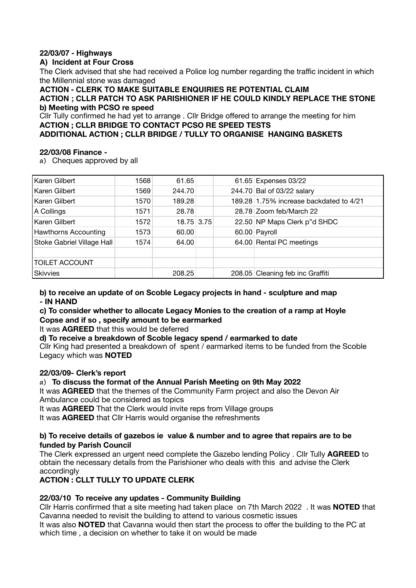# **22/03/07 - Highways**

# **A) Incident at Four Cross**

The Clerk advised that she had received a Police log number regarding the traffic incident in which the Millennial stone was damaged

**ACTION - CLERK TO MAKE SUITABLE ENQUIRIES RE POTENTIAL CLAIM**

**ACTION ; CLLR PATCH TO ASK PARISHIONER IF HE COULD KINDLY REPLACE THE STONE b) Meeting with PCSO re speed** 

Cllr Tully confirmed he had yet to arrange . Cllr Bridge offered to arrange the meeting for him **ACTION ; CLLR BRIDGE TO CONTACT PCSO RE SPEED TESTS ADDITIONAL ACTION ; CLLR BRIDGE / TULLY TO ORGANISE HANGING BASKETS** 

# **22/03/08 Finance -**

**a)** Cheques approved by all

| Karen Gilbert               | 1568 | 61.65      |  | 61.65 Expenses 03/22                    |
|-----------------------------|------|------------|--|-----------------------------------------|
| Karen Gilbert               | 1569 | 244.70     |  | 244.70 Bal of 03/22 salary              |
| Karen Gilbert               | 1570 | 189.28     |  | 189.28 1.75% increase backdated to 4/21 |
| A Collings                  | 1571 | 28.78      |  | 28.78 Zoom feb/March 22                 |
| Karen Gilbert               | 1572 | 18.75 3.75 |  | 22.50 NP Maps Clerk p"d SHDC            |
| <b>Hawthorns Accounting</b> | 1573 | 60.00      |  | 60.00 Payroll                           |
| Stoke Gabriel Village Hall  | 1574 | 64.00      |  | 64.00 Rental PC meetings                |
|                             |      |            |  |                                         |
| <b>TOILET ACCOUNT</b>       |      |            |  |                                         |
| <b>Skivvies</b>             |      | 208.25     |  | 208.05 Cleaning feb inc Graffiti        |

**b) to receive an update of on Scoble Legacy projects in hand - sculpture and map - IN HAND** 

# **c) To consider whether to allocate Legacy Monies to the creation of a ramp at Hoyle Copse and if so , specify amount to be earmarked**

It was **AGREED** that this would be deferred

**d) To receive a breakdown of Scoble legacy spend / earmarked to date** 

Cllr King had presented a breakdown of spent / earmarked items to be funded from the Scoble Legacy which was **NOTED**

# **22/03/09- Clerk's report**

# **a) To discuss the format of the Annual Parish Meeting on 9th May 2022**

It was **AGREED** that the themes of the Community Farm project and also the Devon Air Ambulance could be considered as topics

It was **AGREED** That the Clerk would invite reps from Village groups

It was **AGREED** that Cllr Harris would organise the refreshments

#### **b) To receive details of gazebos ie value & number and to agree that repairs are to be funded by Parish Council**

The Clerk expressed an urgent need complete the Gazebo lending Policy . Cllr Tully **AGREED** to obtain the necessary details from the Parishioner who deals with this and advise the Clerk accordingly

# **ACTION : CLLT TULLY TO UPDATE CLERK**

# **22/03/10 To receive any updates - Community Building**

Cllr Harris confirmed that a site meeting had taken place on 7th March 2022 . It was **NOTED** that Cavanna needed to revisit the building to attend to various cosmetic issues

It was also **NOTED** that Cavanna would then start the process to offer the building to the PC at which time , a decision on whether to take it on would be made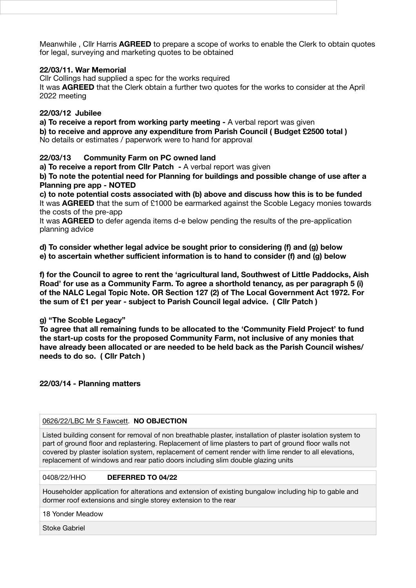Meanwhile , Cllr Harris **AGREED** to prepare a scope of works to enable the Clerk to obtain quotes for legal, surveying and marketing quotes to be obtained

## **22/03/11. War Memorial**

Cllr Collings had supplied a spec for the works required It was **AGREED** that the Clerk obtain a further two quotes for the works to consider at the April 2022 meeting

## **22/03/12 Jubilee**

**a) To receive a report from working party meeting - A verbal report was given b) to receive and approve any expenditure from Parish Council ( Budget £2500 total )**  No details or estimates / paperwork were to hand for approval

**22/03/13 Community Farm on PC owned land** 

**a) To receive a report from Cllr Patch - A verbal report was given** 

**b) To note the potential need for Planning for buildings and possible change of use after a Planning pre app - NOTED** 

**c) to note potential costs associated with (b) above and discuss how this is to be funded**  It was **AGREED** that the sum of £1000 be earmarked against the Scoble Legacy monies towards the costs of the pre-app

It was **AGREED** to defer agenda items d-e below pending the results of the pre-application planning advice

**d) To consider whether legal advice be sought prior to considering (f) and (g) below e) to ascertain whether sufficient information is to hand to consider (f) and (g) below** 

**f) for the Council to agree to rent the 'agricultural land, Southwest of Little Paddocks, Aish Road' for use as a Community Farm. To agree a shorthold tenancy, as per paragraph 5 (i) of the NALC Legal Topic Note. OR Section 127 (2) of The Local Government Act 1972. For the sum of £1 per year - subject to Parish Council legal advice. ( Cllr Patch )** 

# **g) "The Scoble Legacy"**

**To agree that all remaining funds to be allocated to the 'Community Field Project' to fund the start-up costs for the proposed Community Farm, not inclusive of any monies that have already been allocated or are needed to be held back as the Parish Council wishes/ needs to do so. ( Cllr Patch )** 

**22/03/14 - Planning matters** 

#### [0626/22/LBC Mr S Fawcett](http://apps.southhams.gov.uk/PlanningSearchMVC/Home/Details/220626). **NO OBJECTION**

Listed building consent for removal of non breathable plaster, installation of plaster isolation system to part of ground floor and replastering. Replacement of lime plasters to part of ground floor walls not covered by plaster isolation system, replacement of cement render with lime render to all elevations, replacement of windows and rear patio doors including slim double glazing units

#### 0408/22/HHO **DEFERRED TO 04/22**

Householder application for alterations and extension of existing bungalow including hip to gable and dormer roof extensions and single storey extension to the rear

18 Yonder Meadow

Stoke Gabriel